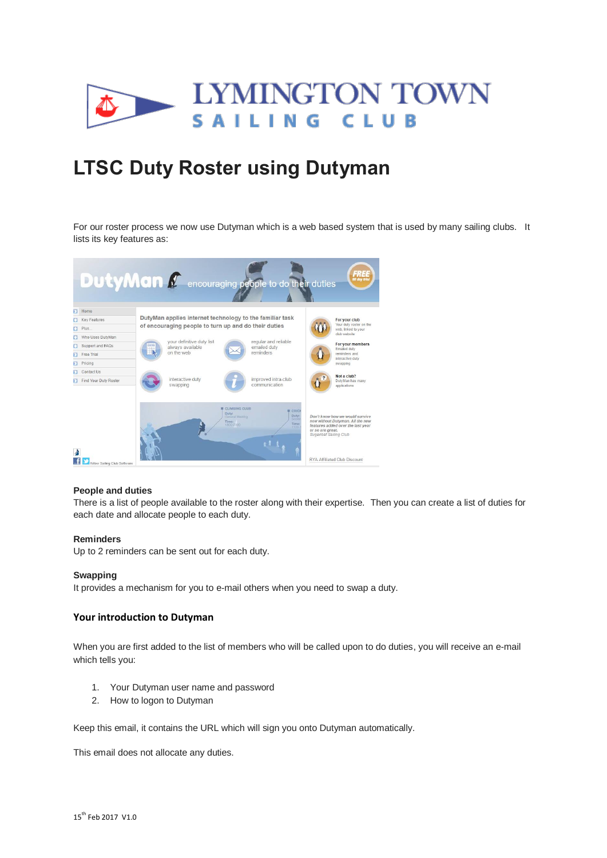

# **LTSC Duty Roster using Dutyman**

For our roster process we now use Dutyman which is a web based system that is used by many sailing clubs. It lists its key features as:



## **People and duties**

There is a list of people available to the roster along with their expertise. Then you can create a list of duties for each date and allocate people to each duty.

#### **Reminders**

Up to 2 reminders can be sent out for each duty.

#### **Swapping**

It provides a mechanism for you to e-mail others when you need to swap a duty.

## **Your introduction to Dutyman**

When you are first added to the list of members who will be called upon to do duties, you will receive an e-mail which tells you:

- 1. Your Dutyman user name and password
- 2. How to logon to Dutyman

Keep this email, it contains the URL which will sign you onto Dutyman automatically.

This email does not allocate any duties.